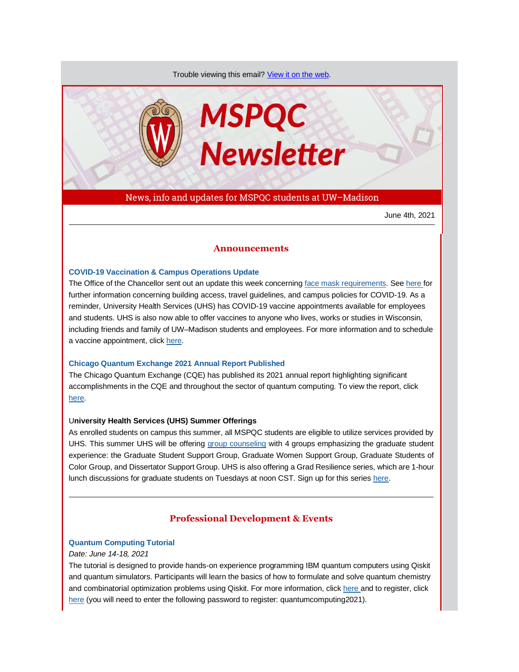Trouble viewing this email? [View it on the web.](https://app.explore.wisc.edu/e/es?s=1427524768&e=706868&elqTrackId=51e861781d16471282f1c296cabd15a9&elq=4691828546374f92992e03559d12f6f4&elqaid=17604&elqat=1)



News, info and updates for MSPQC students at UW–Madison

June 4th, 2021

# **Announcements**

### **[COVID-19 Vaccination & Campus Operations Update](https://app.explore.wisc.edu/e/er?s=1427524768&lid=17998&elqTrackId=7F25B91A07A34101D7B5F32E4B260FA5&elq=4691828546374f92992e03559d12f6f4&elqaid=17604&elqat=1)**

The Office of the Chancellor sent out an update this week concerning face mask [requirements.](https://app.explore.wisc.edu/e/er?s=1427524768&lid=18587&elqTrackId=0224ED4C91E77EB692FCDB8B19E272C4&elq=4691828546374f92992e03559d12f6f4&elqaid=17604&elqat=1) Se[e here f](https://app.explore.wisc.edu/e/er?s=1427524768&lid=18586&elqTrackId=F5A3A722452BE790EDA3E02D6D2D6851&elq=4691828546374f92992e03559d12f6f4&elqaid=17604&elqat=1)or further information concerning building access, travel guidelines, and campus policies for COVID-19. As a reminder, University Health Services (UHS) has COVID-19 vaccine appointments available for employees and students. UHS is also now able to offer vaccines to anyone who lives, works or studies in Wisconsin, including friends and family of UW–Madison students and employees. For more information and to schedule a vaccine appointment, click [here.](https://app.explore.wisc.edu/e/er?s=1427524768&lid=17528&elqTrackId=0F7B3DC31E5ADFC6A1A9C662B20EAA16&elq=4691828546374f92992e03559d12f6f4&elqaid=17604&elqat=1)

### **[Chicago Quantum Exchange 2021 Annual Report Published](https://app.explore.wisc.edu/e/er?s=1427524768&lid=18590&elqTrackId=D3A55AE14C08D80270FBBC7C3C036840&elq=4691828546374f92992e03559d12f6f4&elqaid=17604&elqat=1)**

The Chicago Quantum Exchange (CQE) has published its 2021 annual report highlighting significant accomplishments in the CQE and throughout the sector of quantum computing. To view the report, click [here.](https://app.explore.wisc.edu/e/er?s=1427524768&lid=18590&elqTrackId=3AABB9E80E466BC2EFFD6C4A63E25BD6&elq=4691828546374f92992e03559d12f6f4&elqaid=17604&elqat=1)

### U**niversity Health Services (UHS) Summer Offerings**

As enrolled students on campus this summer, all MSPQC students are eligible to utilize services provided by UHS. This summer UHS will be offering [group counseling](https://app.explore.wisc.edu/e/er?s=1427524768&lid=1437&elqTrackId=6DF99621A781E68373C439154C1181CF&elq=4691828546374f92992e03559d12f6f4&elqaid=17604&elqat=1) with 4 groups emphasizing the graduate student experience: the Graduate Student Support Group, Graduate Women Support Group, Graduate Students of Color Group, and Dissertator Support Group. UHS is also offering a Grad Resilience series, which are 1-hour lunch discussions for graduate students on Tuesdays at noon CST. Sign up for this series [here.](https://app.explore.wisc.edu/e/er?s=1427524768&lid=18205&elqTrackId=A2FEDF79A7C6D622FD8E9EC5F77728C6&elq=4691828546374f92992e03559d12f6f4&elqaid=17604&elqat=1)

# **Professional Development & Events**

## **[Quantum Computing Tutorial](https://app.explore.wisc.edu/e/er?s=1427524768&lid=18589&elqTrackId=92FD433DEE13E217C6A30F5B26ED47F3&elq=4691828546374f92992e03559d12f6f4&elqaid=17604&elqat=1)**

#### *Date: June 14-18, 2021*

The tutorial is designed to provide hands-on experience programming IBM quantum computers using Qiskit and quantum simulators. Participants will learn the basics of how to formulate and solve quantum chemistry and combinatorial optimization problems using Qiskit. For more information, clic[k here a](https://app.explore.wisc.edu/e/er?s=1427524768&lid=18589&elqTrackId=51F3B0587FF97DF6C5ACE526B8FC0702&elq=4691828546374f92992e03559d12f6f4&elqaid=17604&elqat=1)nd to register, click [here](https://app.explore.wisc.edu/e/er?s=1427524768&lid=18588&elqTrackId=38096832F67B64896332223FE413E28B&elq=4691828546374f92992e03559d12f6f4&elqaid=17604&elqat=1) (you will need to enter the following password to register: quantumcomputing2021).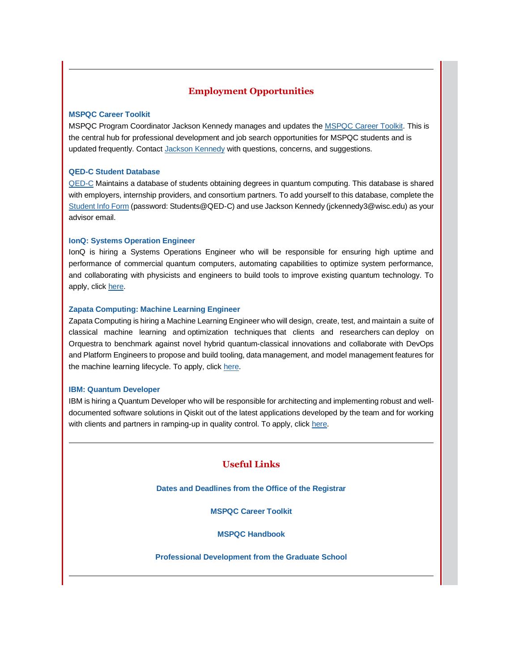# **Employment Opportunities**

## **[MSPQC Career Toolkit](https://app.explore.wisc.edu/e/er?s=1427524768&lid=16119&elqTrackId=5A49858D7B279578BB1B0FB51CEEA074&elq=4691828546374f92992e03559d12f6f4&elqaid=17604&elqat=1)**

MSPQC Program Coordinator Jackson Kennedy manages and updates the [MSPQC Career Toolkit.](https://app.explore.wisc.edu/e/er?s=1427524768&lid=16119&elqTrackId=09D2E0C03CA2395C49E22DEC7C8591D3&elq=4691828546374f92992e03559d12f6f4&elqaid=17604&elqat=1) This is the central hub for professional development and job search opportunities for MSPQC students and is updated frequently. Contact [Jackson Kennedy](mailto:jckennedy3@wisc.edu) with questions, concerns, and suggestions.

# **[QED-C Student Database](https://app.explore.wisc.edu/e/er?s=1427524768&lid=16143&elqTrackId=3F91B3E99BC944A98E92AF38D30E52E3&elq=4691828546374f92992e03559d12f6f4&elqaid=17604&elqat=1)**

[QED-C](https://app.explore.wisc.edu/e/er?s=1427524768&lid=16144&elqTrackId=A9AB285BA5BE3DC678F7230E21B22D08&elq=4691828546374f92992e03559d12f6f4&elqaid=17604&elqat=1) Maintains a database of students obtaining degrees in quantum computing. This database is shared with employers, internship providers, and consortium partners. To add yourself to this database, complete the [Student Info Form](https://app.explore.wisc.edu/e/er?s=1427524768&lid=16143&elqTrackId=4394A173A56EFED3F138143AA6462B62&elq=4691828546374f92992e03559d12f6f4&elqaid=17604&elqat=1) (password: Students@QED-C) and use Jackson Kennedy (jckennedy3@wisc.edu) as your advisor email.

## **[IonQ: Systems Operation Engineer](https://app.explore.wisc.edu/e/er?s=1427524768&lid=18628&elqTrackId=E3CCEC949F32650DDCF580E76B52BD72&elq=4691828546374f92992e03559d12f6f4&elqaid=17604&elqat=1)**

IonQ is hiring a Systems Operations Engineer who will be responsible for ensuring high uptime and performance of commercial quantum computers, automating capabilities to optimize system performance, and collaborating with physicists and engineers to build tools to improve existing quantum technology. To apply, clic[k here.](https://app.explore.wisc.edu/e/er?s=1427524768&lid=18628&elqTrackId=00B209C0FE9B157144DB337BAF4A83B9&elq=4691828546374f92992e03559d12f6f4&elqaid=17604&elqat=1)

## **[Zapata Computing: Machine Learning Engineer](https://app.explore.wisc.edu/e/er?s=1427524768&lid=18627&elqTrackId=D31185140504A0AE249FFF8E81B595D1&elq=4691828546374f92992e03559d12f6f4&elqaid=17604&elqat=1)**

Zapata Computing is hiring a Machine Learning Engineer who will design, create, test, and maintain a suite of classical machine learning and optimization techniques that clients and researchers can deploy on Orquestra to benchmark against novel hybrid quantum-classical innovations and collaborate with DevOps and Platform Engineers to propose and build tooling, data management, and model management features for the machine learning lifecycle. To apply, clic[k here.](https://app.explore.wisc.edu/e/er?s=1427524768&lid=18627&elqTrackId=720108B916329816692D46DB3A497578&elq=4691828546374f92992e03559d12f6f4&elqaid=17604&elqat=1)

### **[IBM: Quantum Developer](https://app.explore.wisc.edu/e/er?s=1427524768&lid=18629&elqTrackId=8A87E64D9F52568F94AE4CC06DD5B832&elq=4691828546374f92992e03559d12f6f4&elqaid=17604&elqat=1)**

IBM is hiring a Quantum Developer who will be responsible for architecting and implementing robust and welldocumented software solutions in Qiskit out of the latest applications developed by the team and for working with clients and partners in ramping-up in quality control. To apply, clic[k here.](https://app.explore.wisc.edu/e/er?s=1427524768&lid=18629&elqTrackId=FE5E49E61DA787797D70633B0D0A2A9A&elq=4691828546374f92992e03559d12f6f4&elqaid=17604&elqat=1)

# **Useful Links**

**[Dates and Deadlines from the Office of the Registrar](https://app.explore.wisc.edu/e/er?s=1427524768&lid=1365&elqTrackId=9F7CF11D41CFC86F42F0B251EF4C3AA3&elq=4691828546374f92992e03559d12f6f4&elqaid=17604&elqat=1)**

**[MSPQC Career Toolkit](https://app.explore.wisc.edu/e/er?s=1427524768&lid=16119&elqTrackId=44063AC561D1491B87B4E1D97C486B23&elq=4691828546374f92992e03559d12f6f4&elqaid=17604&elqat=1)**

**[MSPQC Handbook](https://app.explore.wisc.edu/e/er?s=1427524768&lid=16142&elqTrackId=D3012C7C1F06874F1068EB236237F873&elq=4691828546374f92992e03559d12f6f4&elqaid=17604&elqat=1)**

**[Professional Development from the Graduate School](https://app.explore.wisc.edu/e/er?s=1427524768&lid=784&elqTrackId=C3B3DF7E7308B92BA2160734CA9765E5&elq=4691828546374f92992e03559d12f6f4&elqaid=17604&elqat=1)**